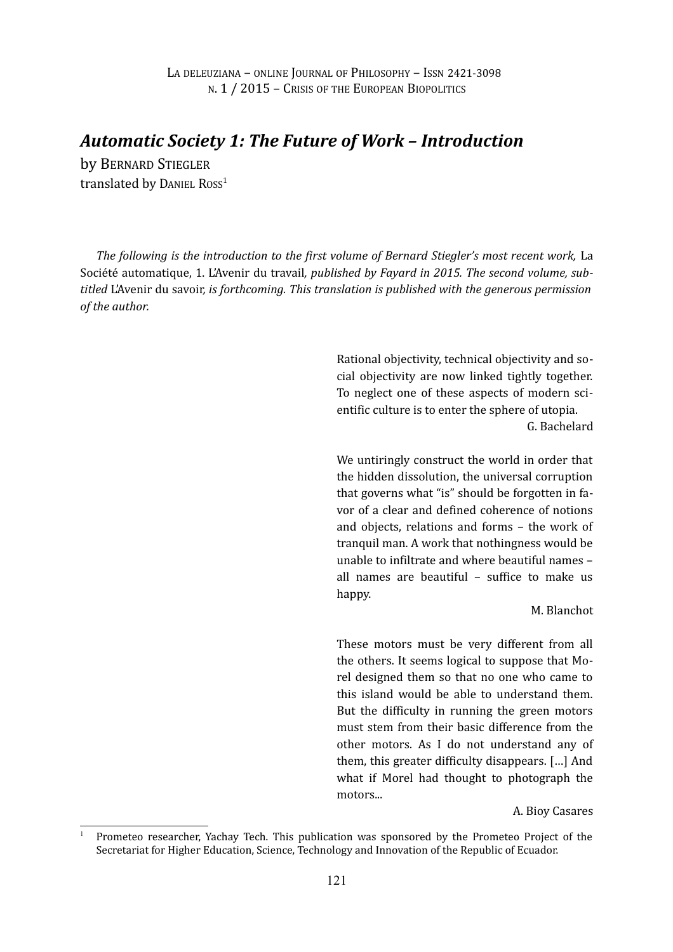# *Automatic Society 1: The Future of Work – Introduction*

by BERNARD STIEGLER translated by DANIEL Ross<sup>[1](#page-0-0)</sup>

*The following is the introduction to the first volume of Bernard Stiegler's most recent work,* La Société automatique, 1. L'Avenir du travail*, published by Fayard in 2015. The second volume, subtitled* L'Avenir du savoir*, is forthcoming. This translation is published with the generous permission of the author.*

> Rational objectivity, technical objectivity and social objectivity are now linked tightly together. To neglect one of these aspects of modern scientific culture is to enter the sphere of utopia.

G. Bachelard

We untiringly construct the world in order that the hidden dissolution, the universal corruption that governs what "is" should be forgotten in favor of a clear and defined coherence of notions and objects, relations and forms – the work of tranquil man. A work that nothingness would be unable to infiltrate and where beautiful names – all names are beautiful – suffice to make us happy.

#### M. Blanchot

These motors must be very different from all the others. It seems logical to suppose that Morel designed them so that no one who came to this island would be able to understand them. But the difficulty in running the green motors must stem from their basic difference from the other motors. As I do not understand any of them, this greater difficulty disappears. […] And what if Morel had thought to photograph the motors...

A. Bioy Casares

<span id="page-0-0"></span><sup>1</sup> Prometeo researcher, Yachay Tech. This publication was sponsored by the Prometeo Project of the Secretariat for Higher Education, Science, Technology and Innovation of the Republic of Ecuador.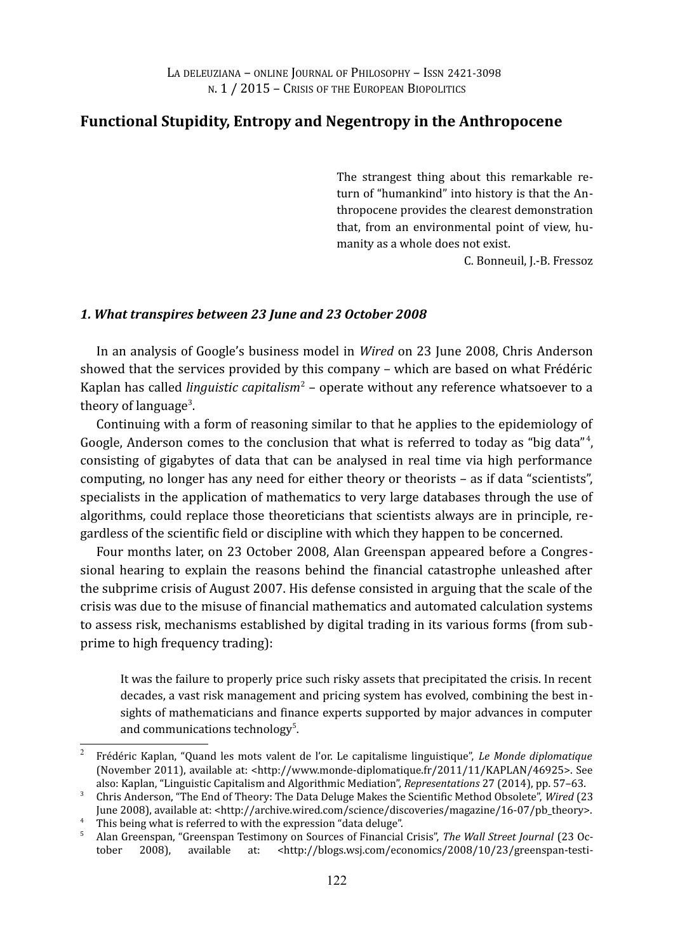# **Functional Stupidity, Entropy and Negentropy in the Anthropocene**

The strangest thing about this remarkable return of "humankind" into history is that the Anthropocene provides the clearest demonstration that, from an environmental point of view, humanity as a whole does not exist.

C. Bonneuil, J.-B. Fressoz

#### *1. What transpires between 23 June and 23 October 2008*

In an analysis of Google's business model in *Wired* on 23 June 2008, Chris Anderson showed that the services provided by this company – which are based on what Frédéric Kaplan has called *linguistic capitalism*<sup>[2](#page-1-0)</sup> – operate without any reference whatsoever to a theory of language<sup>[3](#page-1-1)</sup>.

Continuing with a form of reasoning similar to that he applies to the epidemiology of Google, Anderson comes to the conclusion that what is referred to today as "big data"<sup>[4](#page-1-2)</sup>, consisting of gigabytes of data that can be analysed in real time via high performance computing, no longer has any need for either theory or theorists – as if data "scientists", specialists in the application of mathematics to very large databases through the use of algorithms, could replace those theoreticians that scientists always are in principle, regardless of the scientific field or discipline with which they happen to be concerned.

Four months later, on 23 October 2008, Alan Greenspan appeared before a Congressional hearing to explain the reasons behind the financial catastrophe unleashed after the subprime crisis of August 2007. His defense consisted in arguing that the scale of the crisis was due to the misuse of financial mathematics and automated calculation systems to assess risk, mechanisms established by digital trading in its various forms (from subprime to high frequency trading):

It was the failure to properly price such risky assets that precipitated the crisis. In recent decades, a vast risk management and pricing system has evolved, combining the best insights of mathematicians and finance experts supported by major advances in computer and communications technology<sup>[5](#page-1-3)</sup>.

<span id="page-1-0"></span><sup>2</sup> Frédéric Kaplan, "Quand les mots valent de l'or. Le capitalisme linguistique", *Le Monde diplomatique* (November 2011), available at: <http://www.monde-diplomatique.fr/2011/11/KAPLAN/46925>. See also: Kaplan, "Linguistic Capitalism and Algorithmic Mediation", *Representations* 27 (2014), pp. 57–63.

<span id="page-1-1"></span><sup>3</sup> Chris Anderson, "The End of Theory: The Data Deluge Makes the Scientific Method Obsolete", *Wired* (23 June 2008), available at: <http://archive.wired.com/science/discoveries/magazine/16-07/pb\_theory>.

<span id="page-1-2"></span><sup>&</sup>lt;sup>4</sup> This being what is referred to with the expression "data deluge".

<span id="page-1-3"></span><sup>5</sup> Alan Greenspan, "Greenspan Testimony on Sources of Financial Crisis", *The Wall Street Journal* (23 October 2008), available at: <http://blogs.wsj.com/economics/2008/10/23/greenspan-testi-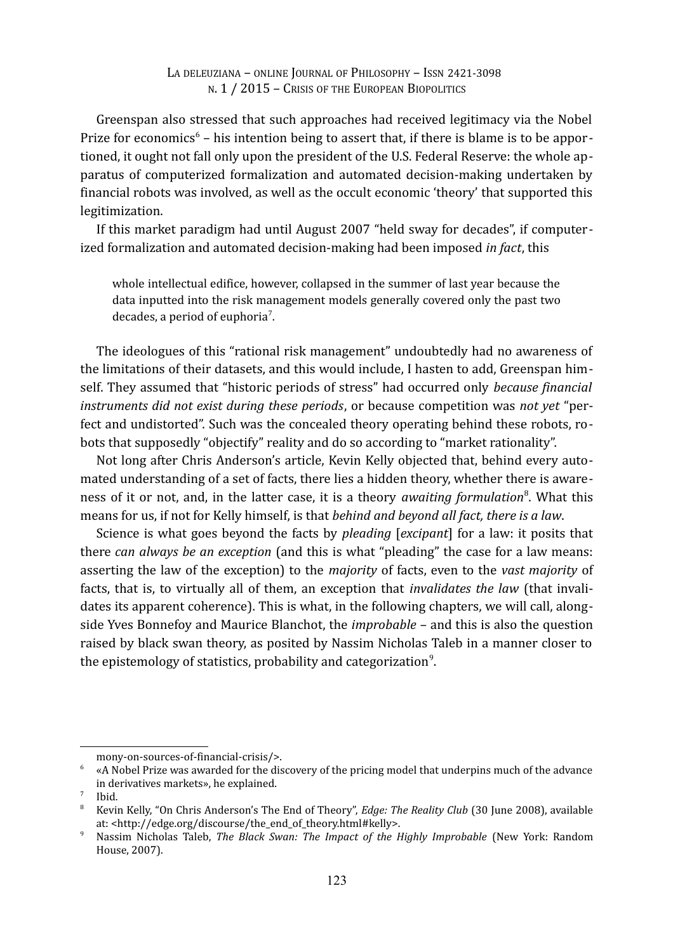Greenspan also stressed that such approaches had received legitimacy via the Nobel Prize for economics $6$  – his intention being to assert that, if there is blame is to be apportioned, it ought not fall only upon the president of the U.S. Federal Reserve: the whole apparatus of computerized formalization and automated decision-making undertaken by financial robots was involved, as well as the occult economic 'theory' that supported this legitimization.

If this market paradigm had until August 2007 "held sway for decades", if computerized formalization and automated decision-making had been imposed *in fact*, this

whole intellectual edifice, however, collapsed in the summer of last year because the data inputted into the risk management models generally covered only the past two decades, a period of euphoria<sup>[7](#page-2-1)</sup>.

The ideologues of this "rational risk management" undoubtedly had no awareness of the limitations of their datasets, and this would include, I hasten to add, Greenspan himself. They assumed that "historic periods of stress" had occurred only *because financial instruments did not exist during these periods*, or because competition was *not yet* "perfect and undistorted". Such was the concealed theory operating behind these robots, robots that supposedly "objectify" reality and do so according to "market rationality".

Not long after Chris Anderson's article, Kevin Kelly objected that, behind every automated understanding of a set of facts, there lies a hidden theory, whether there is awareness of it or not, and, in the latter case, it is a theory *awaiting formulation*<sup>[8](#page-2-2)</sup>. What this means for us, if not for Kelly himself, is that *behind and beyond all fact, there is a law*.

Science is what goes beyond the facts by *pleading* [*excipant*] for a law: it posits that there *can always be an exception* (and this is what "pleading" the case for a law means: asserting the law of the exception) to the *majority* of facts, even to the *vast majority* of facts, that is, to virtually all of them, an exception that *invalidates the law* (that invalidates its apparent coherence). This is what, in the following chapters, we will call, alongside Yves Bonnefoy and Maurice Blanchot, the *improbable* – and this is also the question raised by black swan theory, as posited by Nassim Nicholas Taleb in a manner closer to the epistemology of statistics, probability and categorization $9$ .

mony-on-sources-of-financial-crisis/>.

<span id="page-2-0"></span><sup>6</sup> «A Nobel Prize was awarded for the discovery of the pricing model that underpins much of the advance in derivatives markets», he explained.

<span id="page-2-1"></span><sup>7</sup> Ibid.

<span id="page-2-2"></span><sup>8</sup> Kevin Kelly, "On Chris Anderson's The End of Theory", *Edge: The Reality Club* (30 June 2008), available at: <http://edge.org/discourse/the\_end\_of\_theory.html#kelly>.

<span id="page-2-3"></span><sup>9</sup> Nassim Nicholas Taleb, *The Black Swan: The Impact of the Highly Improbable* (New York: Random House, 2007).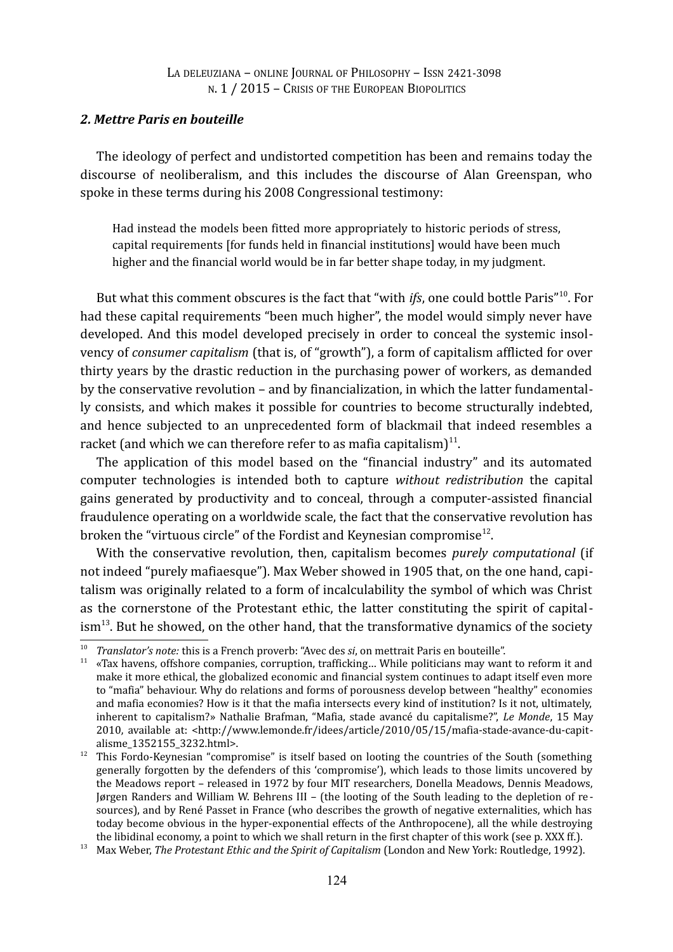### *2. Mettre Paris en bouteille*

The ideology of perfect and undistorted competition has been and remains today the discourse of neoliberalism, and this includes the discourse of Alan Greenspan, who spoke in these terms during his 2008 Congressional testimony:

Had instead the models been fitted more appropriately to historic periods of stress, capital requirements [for funds held in financial institutions] would have been much higher and the financial world would be in far better shape today, in my judgment.

But what this comment obscures is the fact that "with *ifs*, one could bottle Paris"<sup>[10](#page-3-0)</sup>. For had these capital requirements "been much higher", the model would simply never have developed. And this model developed precisely in order to conceal the systemic insolvency of *consumer capitalism* (that is, of "growth"), a form of capitalism afflicted for over thirty years by the drastic reduction in the purchasing power of workers, as demanded by the conservative revolution – and by financialization, in which the latter fundamentally consists, and which makes it possible for countries to become structurally indebted, and hence subjected to an unprecedented form of blackmail that indeed resembles a racket (and which we can therefore refer to as mafia capitalism)<sup>[11](#page-3-1)</sup>.

The application of this model based on the "financial industry" and its automated computer technologies is intended both to capture *without redistribution* the capital gains generated by productivity and to conceal, through a computer-assisted financial fraudulence operating on a worldwide scale, the fact that the conservative revolution has broken the "virtuous circle" of the Fordist and Keynesian compromise $^{12}$  $^{12}$  $^{12}$ .

With the conservative revolution, then, capitalism becomes *purely computational* (if not indeed "purely mafiaesque"). Max Weber showed in 1905 that, on the one hand, capitalism was originally related to a form of incalculability the symbol of which was Christ as the cornerstone of the Protestant ethic, the latter constituting the spirit of capital-ism<sup>[13](#page-3-3)</sup>. But he showed, on the other hand, that the transformative dynamics of the society

<span id="page-3-0"></span><sup>10</sup> *Translator's note:* this is a French proverb: "Avec des *si*, on mettrait Paris en bouteille".

<span id="page-3-1"></span><sup>11</sup> «Tax havens, offshore companies, corruption, trafficking… While politicians may want to reform it and make it more ethical, the globalized economic and financial system continues to adapt itself even more to "mafia" behaviour. Why do relations and forms of porousness develop between "healthy" economies and mafia economies? How is it that the mafia intersects every kind of institution? Is it not, ultimately, inherent to capitalism?» Nathalie Brafman, "Mafia, stade avancé du capitalisme?", *Le Monde*, 15 May 2010, available at: <http://www.lemonde.fr/idees/article/2010/05/15/mafia-stade-avance-du-capitalisme\_1352155\_3232.html>.

<span id="page-3-2"></span><sup>12</sup> This Fordo-Keynesian "compromise" is itself based on looting the countries of the South (something generally forgotten by the defenders of this 'compromise'), which leads to those limits uncovered by the Meadows report – released in 1972 by four MIT researchers, Donella Meadows, Dennis Meadows, Jørgen Randers and William W. Behrens III – (the looting of the South leading to the depletion of re sources), and by René Passet in France (who describes the growth of negative externalities, which has today become obvious in the hyper-exponential effects of the Anthropocene), all the while destroying the libidinal economy, a point to which we shall return in the first chapter of this work (see p. XXX ff.).

<span id="page-3-3"></span><sup>13</sup> Max Weber, *The Protestant Ethic and the Spirit of Capitalism* (London and New York: Routledge, 1992).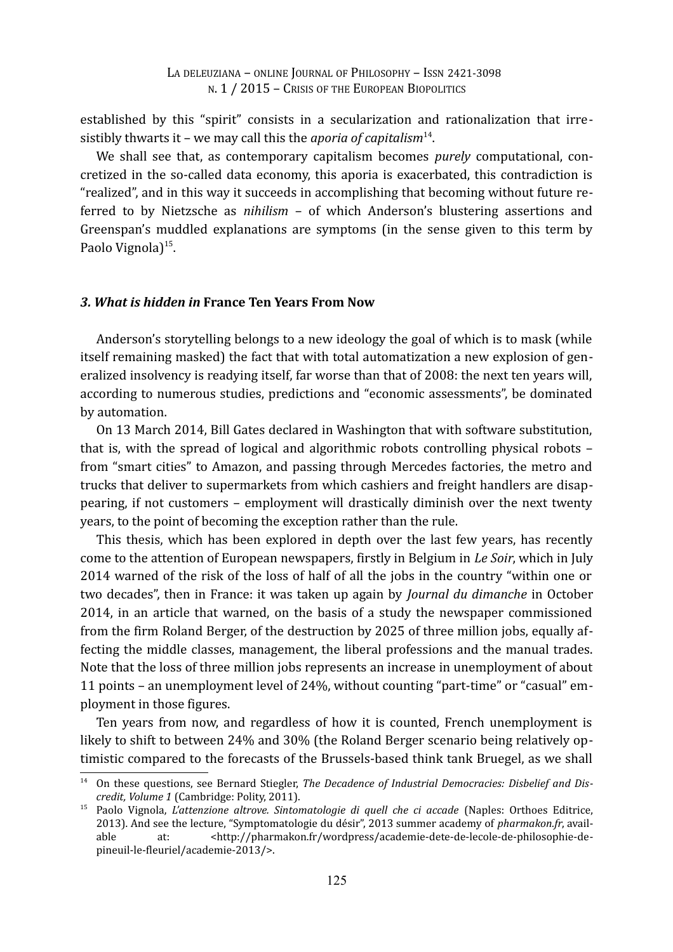established by this "spirit" consists in a secularization and rationalization that irresistibly thwarts it - we may call this the *aporia of capitalism*<sup>[14](#page-4-0)</sup>.

We shall see that, as contemporary capitalism becomes *purely* computational, concretized in the so-called data economy, this aporia is exacerbated, this contradiction is "realized", and in this way it succeeds in accomplishing that becoming without future referred to by Nietzsche as *nihilism* – of which Anderson's blustering assertions and Greenspan's muddled explanations are symptoms (in the sense given to this term by Paolo Vignola)<sup>[15](#page-4-1)</sup>.

#### *3. What is hidden in* **France Ten Years From Now**

Anderson's storytelling belongs to a new ideology the goal of which is to mask (while itself remaining masked) the fact that with total automatization a new explosion of generalized insolvency is readying itself, far worse than that of 2008: the next ten years will, according to numerous studies, predictions and "economic assessments", be dominated by automation.

On 13 March 2014, Bill Gates declared in Washington that with software substitution, that is, with the spread of logical and algorithmic robots controlling physical robots – from "smart cities" to Amazon, and passing through Mercedes factories, the metro and trucks that deliver to supermarkets from which cashiers and freight handlers are disappearing, if not customers – employment will drastically diminish over the next twenty years, to the point of becoming the exception rather than the rule.

This thesis, which has been explored in depth over the last few years, has recently come to the attention of European newspapers, firstly in Belgium in *Le Soir*, which in July 2014 warned of the risk of the loss of half of all the jobs in the country "within one or two decades", then in France: it was taken up again by *Journal du dimanche* in October 2014, in an article that warned, on the basis of a study the newspaper commissioned from the firm Roland Berger, of the destruction by 2025 of three million jobs, equally affecting the middle classes, management, the liberal professions and the manual trades. Note that the loss of three million jobs represents an increase in unemployment of about 11 points – an unemployment level of 24%, without counting "part-time" or "casual" employment in those figures.

Ten years from now, and regardless of how it is counted, French unemployment is likely to shift to between 24% and 30% (the Roland Berger scenario being relatively optimistic compared to the forecasts of the Brussels-based think tank Bruegel, as we shall

<span id="page-4-0"></span><sup>14</sup> On these questions, see Bernard Stiegler, *The Decadence of Industrial Democracies: Disbelief and Discredit, Volume 1* (Cambridge: Polity, 2011).

<span id="page-4-1"></span><sup>15</sup> Paolo Vignola, *L'attenzione altrove. Sintomatologie di quell che ci accade* (Naples: Orthoes Editrice, 2013). And see the lecture, "Symptomatologie du désir", 2013 summer academy of *pharmakon.fr*, available at: <http://pharmakon.fr/wordpress/academie-dete-de-lecole-de-philosophie-depineuil-le-fleuriel/academie-2013/>.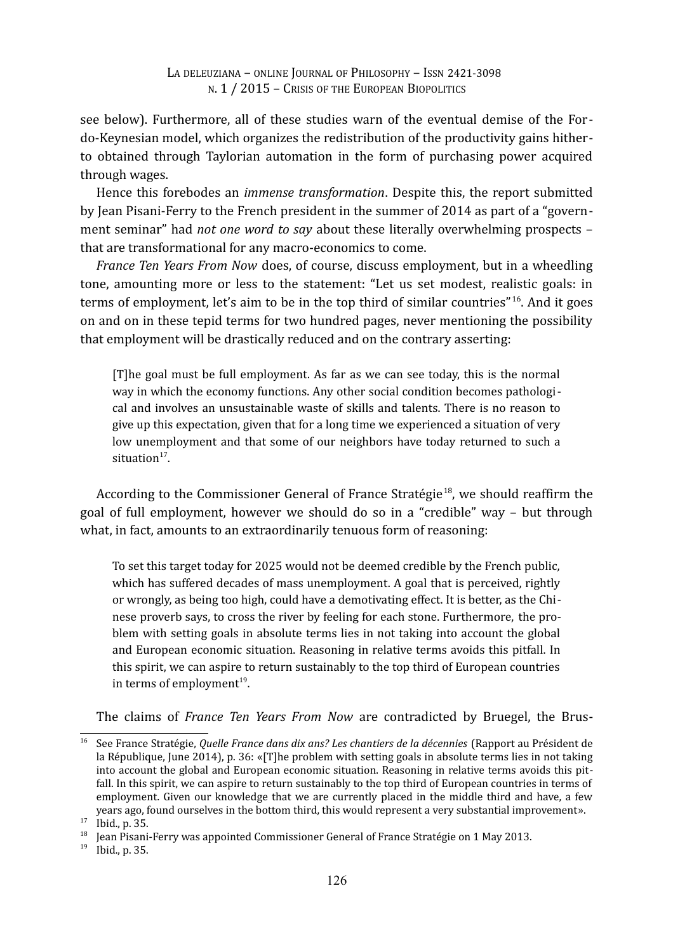see below). Furthermore, all of these studies warn of the eventual demise of the Fordo-Keynesian model, which organizes the redistribution of the productivity gains hitherto obtained through Taylorian automation in the form of purchasing power acquired through wages.

Hence this forebodes an *immense transformation*. Despite this, the report submitted by Jean Pisani-Ferry to the French president in the summer of 2014 as part of a "government seminar" had *not one word to say* about these literally overwhelming prospects – that are transformational for any macro-economics to come.

*France Ten Years From Now* does, of course, discuss employment, but in a wheedling tone, amounting more or less to the statement: "Let us set modest, realistic goals: in terms of employment, let's aim to be in the top third of similar countries"<sup>[16](#page-5-0)</sup>. And it goes on and on in these tepid terms for two hundred pages, never mentioning the possibility that employment will be drastically reduced and on the contrary asserting:

[T]he goal must be full employment. As far as we can see today, this is the normal way in which the economy functions. Any other social condition becomes pathological and involves an unsustainable waste of skills and talents. There is no reason to give up this expectation, given that for a long time we experienced a situation of very low unemployment and that some of our neighbors have today returned to such a situation $17$ .

According to the Commissioner General of France Stratégie<sup>[18](#page-5-2)</sup>, we should reaffirm the goal of full employment, however we should do so in a "credible" way – but through what, in fact, amounts to an extraordinarily tenuous form of reasoning:

To set this target today for 2025 would not be deemed credible by the French public, which has suffered decades of mass unemployment. A goal that is perceived, rightly or wrongly, as being too high, could have a demotivating effect. It is better, as the Chinese proverb says, to cross the river by feeling for each stone. Furthermore, the problem with setting goals in absolute terms lies in not taking into account the global and European economic situation. Reasoning in relative terms avoids this pitfall. In this spirit, we can aspire to return sustainably to the top third of European countries in terms of employment<sup>[19](#page-5-3)</sup>.

The claims of *France Ten Years From Now* are contradicted by Bruegel, the Brus-

<span id="page-5-0"></span><sup>16</sup> See France Stratégie, *Quelle France dans dix ans? Les chantiers de la décennies* (Rapport au Président de la République, June 2014), p. 36: «[T]he problem with setting goals in absolute terms lies in not taking into account the global and European economic situation. Reasoning in relative terms avoids this pitfall. In this spirit, we can aspire to return sustainably to the top third of European countries in terms of employment. Given our knowledge that we are currently placed in the middle third and have, a few years ago, found ourselves in the bottom third, this would represent a very substantial improvement».

<span id="page-5-1"></span><sup>17</sup> Ibid., p. 35.

<span id="page-5-2"></span><sup>&</sup>lt;sup>18</sup> Jean Pisani-Ferry was appointed Commissioner General of France Stratégie on 1 May 2013.

<span id="page-5-3"></span> $19$  Ibid., p. 35.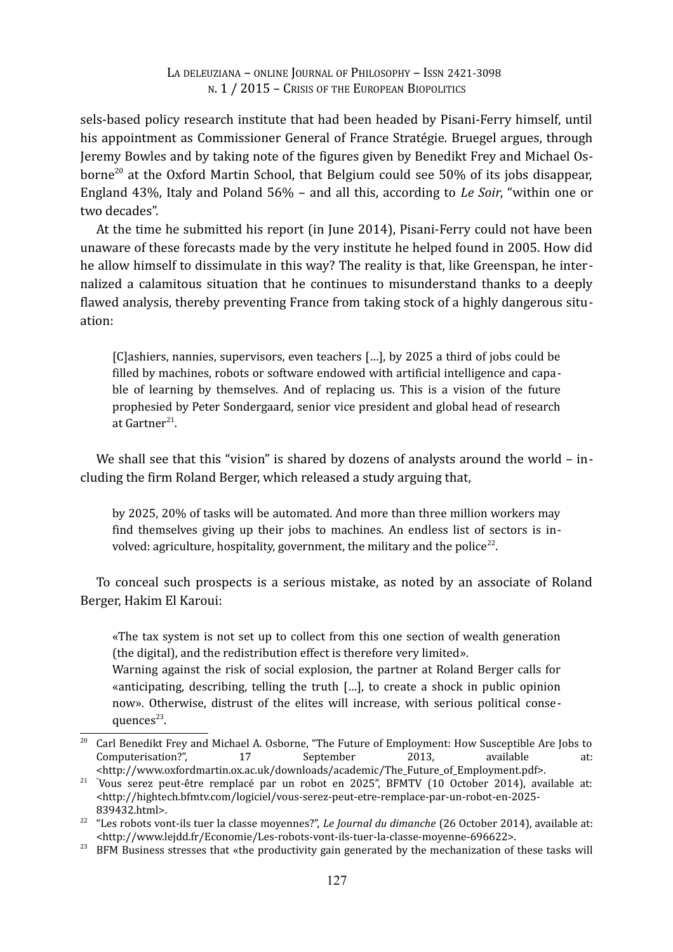sels-based policy research institute that had been headed by Pisani-Ferry himself, until his appointment as Commissioner General of France Stratégie. Bruegel argues, through Jeremy Bowles and by taking note of the figures given by Benedikt Frey and Michael Os-borne<sup>[20](#page-6-0)</sup> at the Oxford Martin School, that Belgium could see 50% of its jobs disappear, England 43%, Italy and Poland 56% – and all this, according to *Le Soir*, "within one or two decades".

At the time he submitted his report (in June 2014), Pisani-Ferry could not have been unaware of these forecasts made by the very institute he helped found in 2005. How did he allow himself to dissimulate in this way? The reality is that, like Greenspan, he internalized a calamitous situation that he continues to misunderstand thanks to a deeply flawed analysis, thereby preventing France from taking stock of a highly dangerous situation:

[C]ashiers, nannies, supervisors, even teachers […], by 2025 a third of jobs could be filled by machines, robots or software endowed with artificial intelligence and capable of learning by themselves. And of replacing us. This is a vision of the future prophesied by Peter Sondergaard, senior vice president and global head of research at Gartner<sup>[21](#page-6-1)</sup>.

We shall see that this "vision" is shared by dozens of analysts around the world - including the firm Roland Berger, which released a study arguing that,

by 2025, 20% of tasks will be automated. And more than three million workers may find themselves giving up their jobs to machines. An endless list of sectors is in-volved: agriculture, hospitality, government, the military and the police<sup>[22](#page-6-2)</sup>.

To conceal such prospects is a serious mistake, as noted by an associate of Roland Berger, Hakim El Karoui:

«The tax system is not set up to collect from this one section of wealth generation (the digital), and the redistribution effect is therefore very limited».

Warning against the risk of social explosion, the partner at Roland Berger calls for «anticipating, describing, telling the truth […], to create a shock in public opinion now». Otherwise, distrust of the elites will increase, with serious political consequences $^{23}$  $^{23}$  $^{23}$ .

<span id="page-6-0"></span><sup>&</sup>lt;sup>20</sup> Carl Benedikt Frey and Michael A. Osborne, "The Future of Employment: How Susceptible Are Jobs to Computerisation?", 17 September 2013, available at: <http://www.oxfordmartin.ox.ac.uk/downloads/academic/The\_Future\_of\_Employment.pdf>.

<span id="page-6-1"></span><sup>&</sup>lt;sup>21</sup> "Vous serez peut-être remplacé par un robot en 2025", BFMTV (10 October 2014), available at: <http://hightech.bfmtv.com/logiciel/vous-serez-peut-etre-remplace-par-un-robot-en-2025- 839432.html>.

<span id="page-6-2"></span><sup>22</sup> "Les robots vont-ils tuer la classe moyennes?", *Le Journal du dimanche* (26 October 2014), available at: <http://www.lejdd.fr/Economie/Les-robots-vont-ils-tuer-la-classe-moyenne-696622>.

<span id="page-6-3"></span><sup>&</sup>lt;sup>23</sup> BFM Business stresses that «the productivity gain generated by the mechanization of these tasks will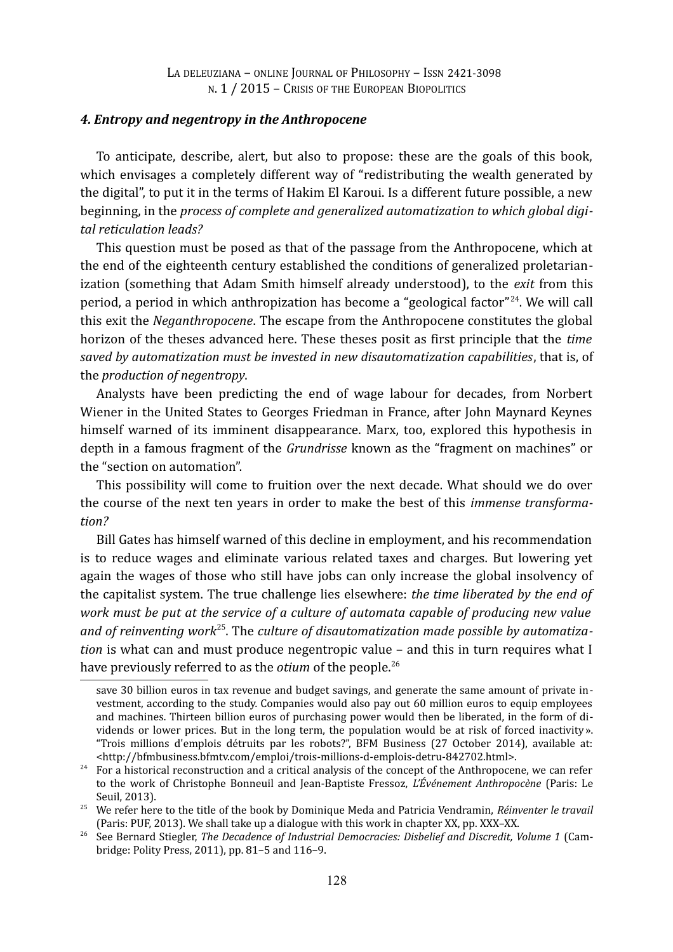#### *4. Entropy and negentropy in the Anthropocene*

To anticipate, describe, alert, but also to propose: these are the goals of this book, which envisages a completely different way of "redistributing the wealth generated by the digital", to put it in the terms of Hakim El Karoui. Is a different future possible, a new beginning, in the *process of complete and generalized automatization to which global digital reticulation leads?*

This question must be posed as that of the passage from the Anthropocene, which at the end of the eighteenth century established the conditions of generalized proletarianization (something that Adam Smith himself already understood), to the *exit* from this period, a period in which anthropization has become a "geological factor"<sup>[24](#page-7-0)</sup>. We will call this exit the *Neganthropocene*. The escape from the Anthropocene constitutes the global horizon of the theses advanced here. These theses posit as first principle that the *time saved by automatization must be invested in new disautomatization capabilities*, that is, of the *production of negentropy*.

Analysts have been predicting the end of wage labour for decades, from Norbert Wiener in the United States to Georges Friedman in France, after John Maynard Keynes himself warned of its imminent disappearance. Marx, too, explored this hypothesis in depth in a famous fragment of the *Grundrisse* known as the "fragment on machines" or the "section on automation".

This possibility will come to fruition over the next decade. What should we do over the course of the next ten years in order to make the best of this *immense transformation?*

Bill Gates has himself warned of this decline in employment, and his recommendation is to reduce wages and eliminate various related taxes and charges. But lowering yet again the wages of those who still have jobs can only increase the global insolvency of the capitalist system. The true challenge lies elsewhere: *the time liberated by the end of work must be put at the service of a culture of automata capable of producing new value* and of reinventing work<sup>[25](#page-7-1)</sup>. The culture of disautomatization made possible by automatiza*tion* is what can and must produce negentropic value – and this in turn requires what I have previously referred to as the *otium* of the people.<sup>[26](#page-7-2)</sup>

save 30 billion euros in tax revenue and budget savings, and generate the same amount of private investment, according to the study. Companies would also pay out 60 million euros to equip employees and machines. Thirteen billion euros of purchasing power would then be liberated, in the form of dividends or lower prices. But in the long term, the population would be at risk of forced inactivity ». "Trois millions d'emplois détruits par les robots?", BFM Business (27 October 2014), available at: <http://bfmbusiness.bfmtv.com/emploi/trois-millions-d-emplois-detru-842702.html>.

<span id="page-7-0"></span><sup>&</sup>lt;sup>24</sup> For a historical reconstruction and a critical analysis of the concept of the Anthropocene, we can refer to the work of Christophe Bonneuil and Jean-Baptiste Fressoz, *L'Événement Anthropocène* (Paris: Le Seuil, 2013).

<span id="page-7-1"></span><sup>25</sup> We refer here to the title of the book by Dominique Meda and Patricia Vendramin, *Réinventer le travail* (Paris: PUF, 2013). We shall take up a dialogue with this work in chapter XX, pp. XXX–XX.

<span id="page-7-2"></span><sup>26</sup> See Bernard Stiegler, *The Decadence of Industrial Democracies: Disbelief and Discredit, Volume 1* (Cambridge: Polity Press, 2011), pp. 81–5 and 116–9.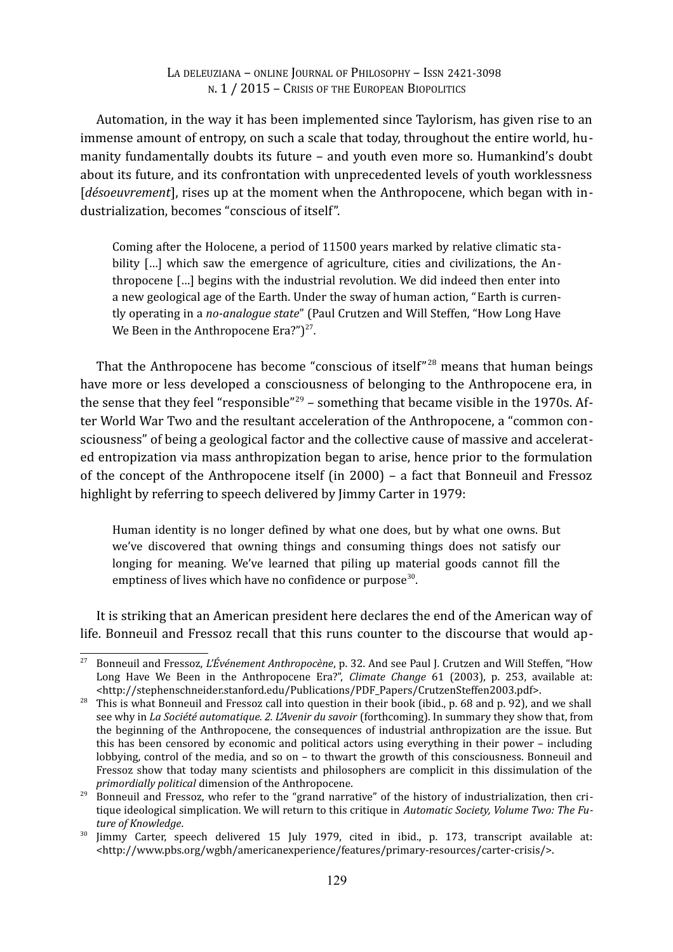Automation, in the way it has been implemented since Taylorism, has given rise to an immense amount of entropy, on such a scale that today, throughout the entire world, humanity fundamentally doubts its future – and youth even more so. Humankind's doubt about its future, and its confrontation with unprecedented levels of youth worklessness [*désoeuvrement*], rises up at the moment when the Anthropocene, which began with industrialization, becomes "conscious of itself".

Coming after the Holocene, a period of 11500 years marked by relative climatic stability […] which saw the emergence of agriculture, cities and civilizations, the Anthropocene […] begins with the industrial revolution. We did indeed then enter into a new geological age of the Earth. Under the sway of human action, "Earth is currently operating in a *no-analogue state*" (Paul Crutzen and Will Steffen, "How Long Have We Been in the Anthropocene Era?") $27$ .

That the Anthropocene has become "conscious of itself"<sup>[28](#page-8-1)</sup> means that human beings have more or less developed a consciousness of belonging to the Anthropocene era, in the sense that they feel "responsible"<sup>[29](#page-8-2)</sup> – something that became visible in the 1970s. After World War Two and the resultant acceleration of the Anthropocene, a "common consciousness" of being a geological factor and the collective cause of massive and accelerated entropization via mass anthropization began to arise, hence prior to the formulation of the concept of the Anthropocene itself (in 2000) – a fact that Bonneuil and Fressoz highlight by referring to speech delivered by Jimmy Carter in 1979:

Human identity is no longer defined by what one does, but by what one owns. But we've discovered that owning things and consuming things does not satisfy our longing for meaning. We've learned that piling up material goods cannot fill the emptiness of lives which have no confidence or purpose<sup>[30](#page-8-3)</sup>.

It is striking that an American president here declares the end of the American way of life. Bonneuil and Fressoz recall that this runs counter to the discourse that would ap-

<span id="page-8-0"></span><sup>27</sup> Bonneuil and Fressoz, *L'Événement Anthropocène*, p. 32. And see Paul J. Crutzen and Will Steffen, "How Long Have We Been in the Anthropocene Era?", *Climate Change* 61 (2003), p. 253, available at: <http://stephenschneider.stanford.edu/Publications/PDF\_Papers/CrutzenSteffen2003.pdf>.

<span id="page-8-1"></span><sup>&</sup>lt;sup>28</sup> This is what Bonneuil and Fressoz call into question in their book (ibid., p. 68 and p. 92), and we shall see why in *La Société automatique. 2. L'Avenir du savoir* (forthcoming). In summary they show that, from the beginning of the Anthropocene, the consequences of industrial anthropization are the issue. But this has been censored by economic and political actors using everything in their power – including lobbying, control of the media, and so on – to thwart the growth of this consciousness. Bonneuil and Fressoz show that today many scientists and philosophers are complicit in this dissimulation of the *primordially political* dimension of the Anthropocene.

<span id="page-8-2"></span> $29$  Bonneuil and Fressoz, who refer to the "grand narrative" of the history of industrialization, then critique ideological simplication. We will return to this critique in *Automatic Society, Volume Two: The Future of Knowledge*.

<span id="page-8-3"></span><sup>&</sup>lt;sup>30</sup> Iimmy Carter, speech delivered 15 July 1979, cited in ibid., p. 173, transcript available at: <http://www.pbs.org/wgbh/americanexperience/features/primary-resources/carter-crisis/>.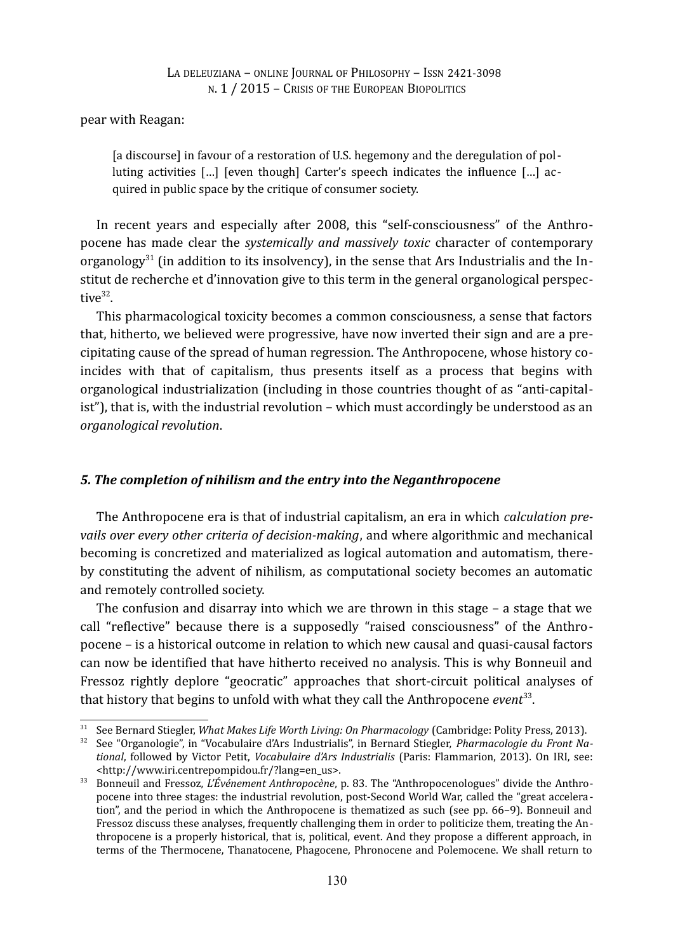pear with Reagan:

[a discourse] in favour of a restoration of U.S. hegemony and the deregulation of polluting activities […] [even though] Carter's speech indicates the influence […] acquired in public space by the critique of consumer society.

In recent years and especially after 2008, this "self-consciousness" of the Anthropocene has made clear the *systemically and massively toxic* character of contemporary organology<sup>[31](#page-9-0)</sup> (in addition to its insolvency), in the sense that Ars Industrialis and the Institut de recherche et d'innovation give to this term in the general organological perspective $^{32}$  $^{32}$  $^{32}$ .

This pharmacological toxicity becomes a common consciousness, a sense that factors that, hitherto, we believed were progressive, have now inverted their sign and are a precipitating cause of the spread of human regression. The Anthropocene, whose history coincides with that of capitalism, thus presents itself as a process that begins with organological industrialization (including in those countries thought of as "anti-capitalist"), that is, with the industrial revolution – which must accordingly be understood as an *organological revolution*.

### *5. The completion of nihilism and the entry into the Neganthropocene*

The Anthropocene era is that of industrial capitalism, an era in which *calculation prevails over every other criteria of decision-making*, and where algorithmic and mechanical becoming is concretized and materialized as logical automation and automatism, thereby constituting the advent of nihilism, as computational society becomes an automatic and remotely controlled society.

The confusion and disarray into which we are thrown in this stage – a stage that we call "reflective" because there is a supposedly "raised consciousness" of the Anthropocene – is a historical outcome in relation to which new causal and quasi-causal factors can now be identified that have hitherto received no analysis. This is why Bonneuil and Fressoz rightly deplore "geocratic" approaches that short-circuit political analyses of that history that begins to unfold with what they call the Anthropocene *event*<sup>[33](#page-9-2)</sup>.

<span id="page-9-0"></span><sup>31</sup> See Bernard Stiegler, *What Makes Life Worth Living: On Pharmacology* (Cambridge: Polity Press, 2013).

<span id="page-9-1"></span><sup>32</sup> See "Organologie", in "Vocabulaire d'Ars Industrialis", in Bernard Stiegler, *Pharmacologie du Front National*, followed by Victor Petit, *Vocabulaire d'Ars Industrialis* (Paris: Flammarion, 2013). On IRI, see: <http://www.iri.centrepompidou.fr/?lang=en\_us>.

<span id="page-9-2"></span><sup>33</sup> Bonneuil and Fressoz, *L'Événement Anthropocène*, p. 83. The "Anthropocenologues" divide the Anthropocene into three stages: the industrial revolution, post-Second World War, called the "great accelera tion", and the period in which the Anthropocene is thematized as such (see pp. 66–9). Bonneuil and Fressoz discuss these analyses, frequently challenging them in order to politicize them, treating the Anthropocene is a properly historical, that is, political, event. And they propose a different approach, in terms of the Thermocene, Thanatocene, Phagocene, Phronocene and Polemocene. We shall return to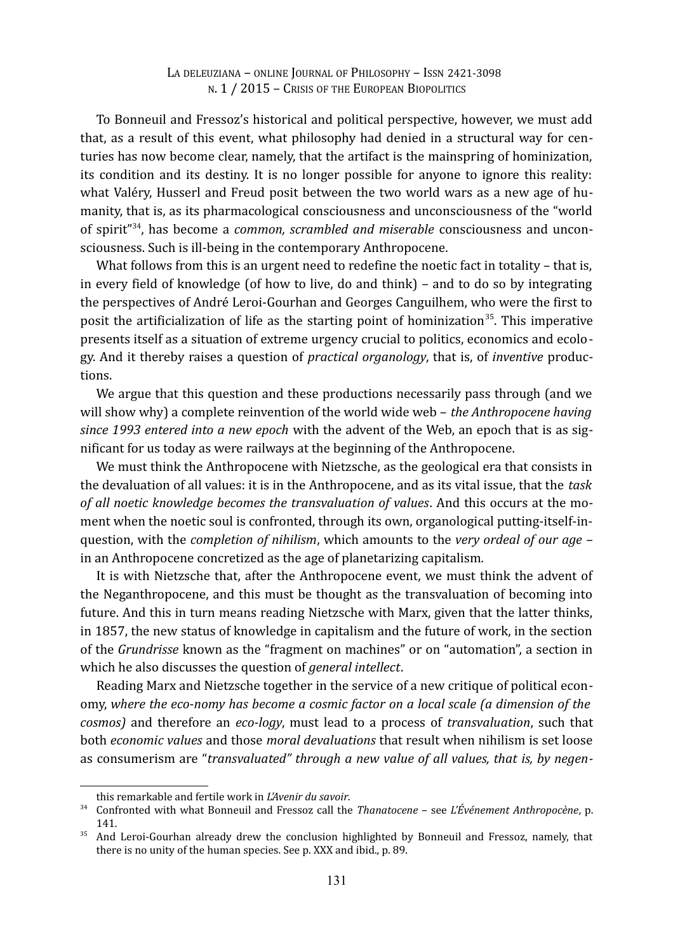To Bonneuil and Fressoz's historical and political perspective, however, we must add that, as a result of this event, what philosophy had denied in a structural way for centuries has now become clear, namely, that the artifact is the mainspring of hominization, its condition and its destiny. It is no longer possible for anyone to ignore this reality: what Valéry, Husserl and Freud posit between the two world wars as a new age of humanity, that is, as its pharmacological consciousness and unconsciousness of the "world of spirit"[34](#page-10-0), has become a *common, scrambled and miserable* consciousness and unconsciousness. Such is ill-being in the contemporary Anthropocene.

What follows from this is an urgent need to redefine the noetic fact in totality – that is, in every field of knowledge (of how to live, do and think) – and to do so by integrating the perspectives of André Leroi-Gourhan and Georges Canguilhem, who were the first to posit the artificialization of life as the starting point of hominization<sup>[35](#page-10-1)</sup>. This imperative presents itself as a situation of extreme urgency crucial to politics, economics and ecology. And it thereby raises a question of *practical organology*, that is, of *inventive* productions.

We argue that this question and these productions necessarily pass through (and we will show why) a complete reinvention of the world wide web – *the Anthropocene having since 1993 entered into a new epoch* with the advent of the Web, an epoch that is as significant for us today as were railways at the beginning of the Anthropocene.

We must think the Anthropocene with Nietzsche, as the geological era that consists in the devaluation of all values: it is in the Anthropocene, and as its vital issue, that the *task of all noetic knowledge becomes the transvaluation of values*. And this occurs at the moment when the noetic soul is confronted, through its own, organological putting-itself-inquestion, with the *completion of nihilism*, which amounts to the *very ordeal of our age* – in an Anthropocene concretized as the age of planetarizing capitalism.

It is with Nietzsche that, after the Anthropocene event, we must think the advent of the Neganthropocene, and this must be thought as the transvaluation of becoming into future. And this in turn means reading Nietzsche with Marx, given that the latter thinks, in 1857, the new status of knowledge in capitalism and the future of work, in the section of the *Grundrisse* known as the "fragment on machines" or on "automation", a section in which he also discusses the question of *general intellect*.

Reading Marx and Nietzsche together in the service of a new critique of political economy, *where the eco-nomy has become a cosmic factor on a local scale (a dimension of the cosmos)* and therefore an *eco-logy*, must lead to a process of *transvaluation*, such that both *economic values* and those *moral devaluations* that result when nihilism is set loose as consumerism are "*transvaluated" through a new value of all values, that is, by negen-*

this remarkable and fertile work in *L'Avenir du savoir*.

<span id="page-10-0"></span><sup>34</sup> Confronted with what Bonneuil and Fressoz call the *Thanatocene* – see *L'Événement Anthropocène*, p. 141.

<span id="page-10-1"></span><sup>&</sup>lt;sup>35</sup> And Leroi-Gourhan already drew the conclusion highlighted by Bonneuil and Fressoz, namely, that there is no unity of the human species. See p. XXX and ibid., p. 89.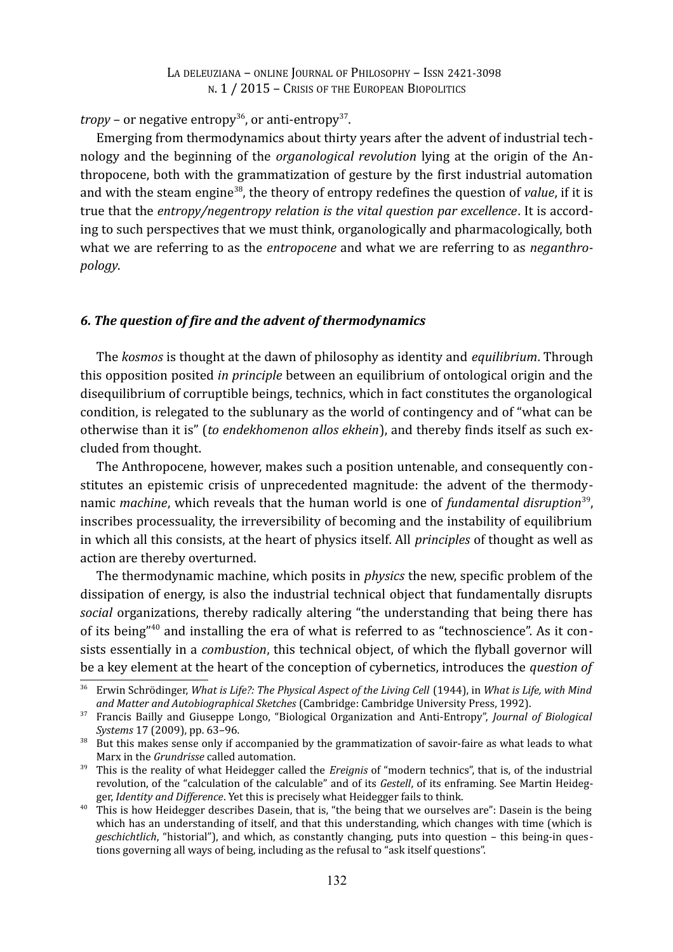$tropy$  – or negative entropy<sup>[36](#page-11-0)</sup>, or anti-entropy<sup>[37](#page-11-1)</sup>.

Emerging from thermodynamics about thirty years after the advent of industrial technology and the beginning of the *organological revolution* lying at the origin of the Anthropocene, both with the grammatization of gesture by the first industrial automation and with the steam engine<sup>[38](#page-11-2)</sup>, the theory of entropy redefines the question of *value*, if it is true that the *entropy/negentropy relation is the vital question par excellence*. It is according to such perspectives that we must think, organologically and pharmacologically, both what we are referring to as the *entropocene* and what we are referring to as *neganthropology*.

### *6. The question of fire and the advent of thermodynamics*

The *kosmos* is thought at the dawn of philosophy as identity and *equilibrium*. Through this opposition posited *in principle* between an equilibrium of ontological origin and the disequilibrium of corruptible beings, technics, which in fact constitutes the organological condition, is relegated to the sublunary as the world of contingency and of "what can be otherwise than it is" (*to endekhomenon allos ekhein*), and thereby finds itself as such excluded from thought.

The Anthropocene, however, makes such a position untenable, and consequently constitutes an epistemic crisis of unprecedented magnitude: the advent of the thermodynamic *machine*, which reveals that the human world is one of *fundamental disruption*<sup>[39](#page-11-3)</sup>, inscribes processuality, the irreversibility of becoming and the instability of equilibrium in which all this consists, at the heart of physics itself. All *principles* of thought as well as action are thereby overturned.

The thermodynamic machine, which posits in *physics* the new, specific problem of the dissipation of energy, is also the industrial technical object that fundamentally disrupts *social* organizations, thereby radically altering "the understanding that being there has of its being"[40](#page-11-4) and installing the era of what is referred to as "technoscience". As it consists essentially in a *combustion*, this technical object, of which the flyball governor will be a key element at the heart of the conception of cybernetics, introduces the *question of*

<span id="page-11-0"></span><sup>&</sup>lt;sup>36</sup> Erwin Schrödinger, *What is Life?: The Physical Aspect of the Living Cell* (1944), in *What is Life, with Mind and Matter and Autobiographical Sketches* (Cambridge: Cambridge University Press, 1992).

<span id="page-11-1"></span><sup>37</sup> Francis Bailly and Giuseppe Longo, "Biological Organization and Anti-Entropy", *Journal of Biological Systems* 17 (2009), pp. 63–96.

<span id="page-11-2"></span><sup>&</sup>lt;sup>38</sup> But this makes sense only if accompanied by the grammatization of savoir-faire as what leads to what Marx in the *Grundrisse* called automation.

<span id="page-11-3"></span><sup>39</sup> This is the reality of what Heidegger called the *Ereignis* of "modern technics", that is, of the industrial revolution, of the "calculation of the calculable" and of its *Gestell*, of its enframing. See Martin Heidegger, *Identity and Difference*. Yet this is precisely what Heidegger fails to think.

<span id="page-11-4"></span><sup>&</sup>lt;sup>40</sup> This is how Heidegger describes Dasein, that is, "the being that we ourselves are": Dasein is the being which has an understanding of itself, and that this understanding, which changes with time (which is *geschichtlich*, "historial"), and which, as constantly changing, puts into question – this being-in questions governing all ways of being, including as the refusal to "ask itself questions".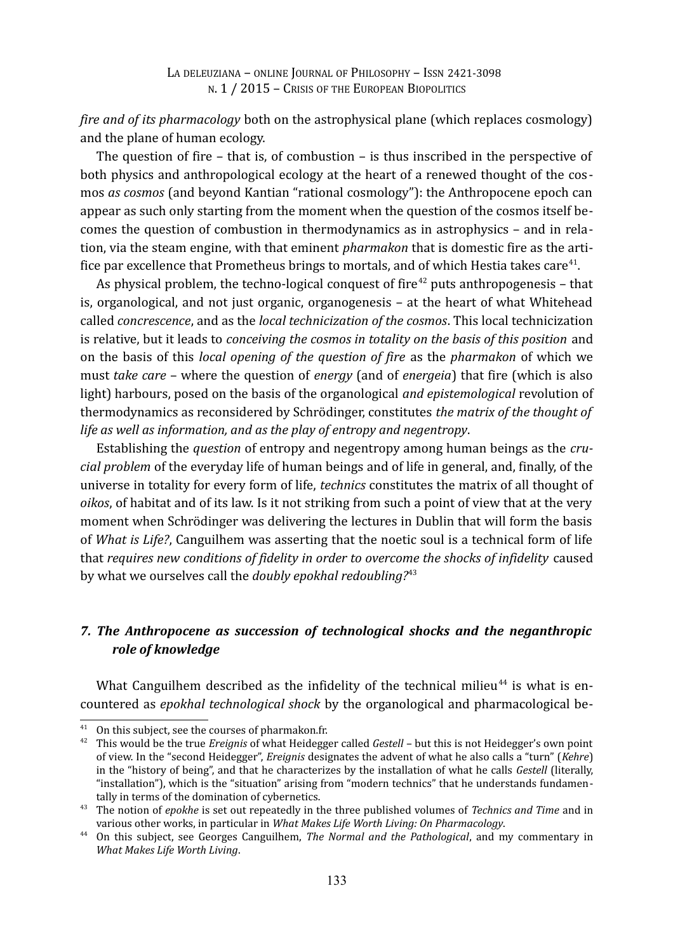*fire and of its pharmacology* both on the astrophysical plane (which replaces cosmology) and the plane of human ecology.

The question of fire – that is, of combustion – is thus inscribed in the perspective of both physics and anthropological ecology at the heart of a renewed thought of the cos mos *as cosmos* (and beyond Kantian "rational cosmology"): the Anthropocene epoch can appear as such only starting from the moment when the question of the cosmos itself becomes the question of combustion in thermodynamics as in astrophysics – and in relation, via the steam engine, with that eminent *pharmakon* that is domestic fire as the arti-fice par excellence that Prometheus brings to mortals, and of which Hestia takes care<sup>[41](#page-12-0)</sup>.

As physical problem, the techno-logical conquest of fire<sup>[42](#page-12-1)</sup> puts anthropogenesis – that is, organological, and not just organic, organogenesis – at the heart of what Whitehead called *concrescence*, and as the *local technicization of the cosmos*. This local technicization is relative, but it leads to *conceiving the cosmos in totality on the basis of this position* and on the basis of this *local opening of the question of fire* as the *pharmakon* of which we must *take care* – where the question of *energy* (and of *energeia*) that fire (which is also light) harbours, posed on the basis of the organological *and epistemological* revolution of thermodynamics as reconsidered by Schrödinger, constitutes *the matrix of the thought of life as well as information, and as the play of entropy and negentropy*.

Establishing the *question* of entropy and negentropy among human beings as the *crucial problem* of the everyday life of human beings and of life in general, and, finally, of the universe in totality for every form of life, *technics* constitutes the matrix of all thought of *oikos*, of habitat and of its law. Is it not striking from such a point of view that at the very moment when Schrödinger was delivering the lectures in Dublin that will form the basis of *What is Life?*, Canguilhem was asserting that the noetic soul is a technical form of life that *requires new conditions of fidelity in order to overcome the shocks of infidelity* caused by what we ourselves call the *doubly epokhal redoubling?*[43](#page-12-2)

## *7. The Anthropocene as succession of technological shocks and the neganthropic role of knowledge*

What Canguilhem described as the infidelity of the technical milieu<sup>[44](#page-12-3)</sup> is what is encountered as *epokhal technological shock* by the organological and pharmacological be-

<span id="page-12-0"></span><sup>&</sup>lt;sup>41</sup> On this subject, see the courses of pharmakon.fr.

<span id="page-12-1"></span><sup>42</sup> This would be the true *Ereignis* of what Heidegger called *Gestell* – but this is not Heidegger's own point of view. In the "second Heidegger", *Ereignis* designates the advent of what he also calls a "turn" (*Kehre*) in the "history of being", and that he characterizes by the installation of what he calls *Gestell* (literally, "installation"), which is the "situation" arising from "modern technics" that he understands fundamentally in terms of the domination of cybernetics.

<span id="page-12-2"></span><sup>43</sup> The notion of *epokhe* is set out repeatedly in the three published volumes of *Technics and Time* and in various other works, in particular in *What Makes Life Worth Living: On Pharmacology*.

<span id="page-12-3"></span><sup>44</sup> On this subject, see Georges Canguilhem, *The Normal and the Pathological*, and my commentary in *What Makes Life Worth Living*.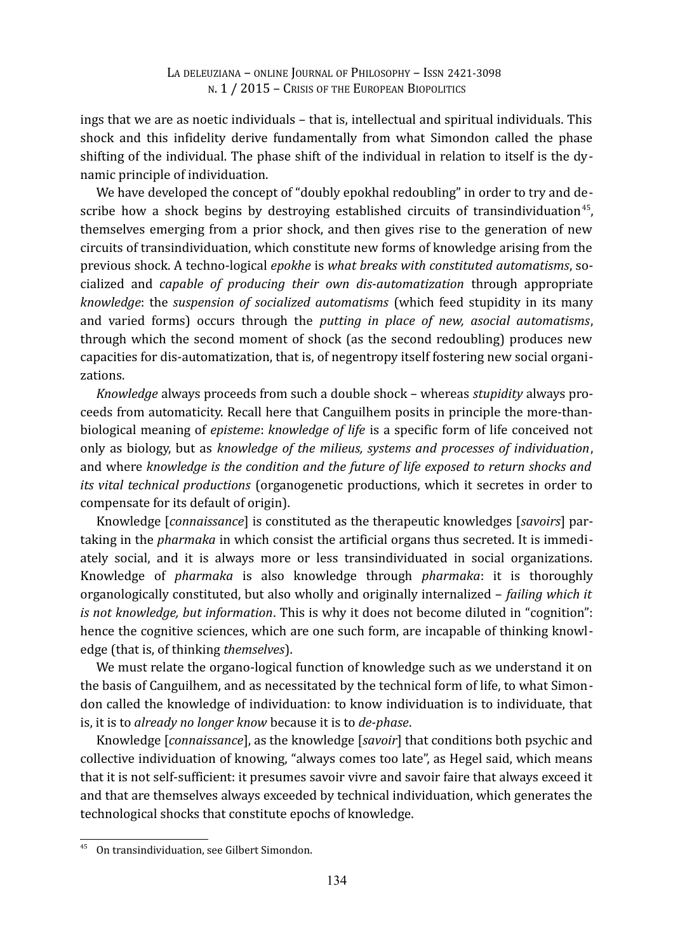ings that we are as noetic individuals – that is, intellectual and spiritual individuals. This shock and this infidelity derive fundamentally from what Simondon called the phase shifting of the individual. The phase shift of the individual in relation to itself is the dynamic principle of individuation.

We have developed the concept of "doubly epokhal redoubling" in order to try and de-scribe how a shock begins by destroying established circuits of transindividuation<sup>[45](#page-13-0)</sup>, themselves emerging from a prior shock, and then gives rise to the generation of new circuits of transindividuation, which constitute new forms of knowledge arising from the previous shock. A techno-logical *epokhe* is *what breaks with constituted automatisms*, socialized and *capable of producing their own dis-automatization* through appropriate *knowledge*: the *suspension of socialized automatisms* (which feed stupidity in its many and varied forms) occurs through the *putting in place of new, asocial automatisms*, through which the second moment of shock (as the second redoubling) produces new capacities for dis-automatization, that is, of negentropy itself fostering new social organizations.

*Knowledge* always proceeds from such a double shock – whereas *stupidity* always proceeds from automaticity. Recall here that Canguilhem posits in principle the more-thanbiological meaning of *episteme*: *knowledge of life* is a specific form of life conceived not only as biology, but as *knowledge of the milieus, systems and processes of individuation*, and where *knowledge is the condition and the future of life exposed to return shocks and its vital technical productions* (organogenetic productions, which it secretes in order to compensate for its default of origin).

Knowledge [*connaissance*] is constituted as the therapeutic knowledges [*savoirs*] partaking in the *pharmaka* in which consist the artificial organs thus secreted. It is immediately social, and it is always more or less transindividuated in social organizations. Knowledge of *pharmaka* is also knowledge through *pharmaka*: it is thoroughly organologically constituted, but also wholly and originally internalized – *failing which it is not knowledge, but information*. This is why it does not become diluted in "cognition": hence the cognitive sciences, which are one such form, are incapable of thinking knowledge (that is, of thinking *themselves*).

We must relate the organo-logical function of knowledge such as we understand it on the basis of Canguilhem, and as necessitated by the technical form of life, to what Simondon called the knowledge of individuation: to know individuation is to individuate, that is, it is to *already no longer know* because it is to *de-phase*.

Knowledge [*connaissance*], as the knowledge [*savoir*] that conditions both psychic and collective individuation of knowing, "always comes too late", as Hegel said, which means that it is not self-sufficient: it presumes savoir vivre and savoir faire that always exceed it and that are themselves always exceeded by technical individuation, which generates the technological shocks that constitute epochs of knowledge.

<span id="page-13-0"></span><sup>&</sup>lt;sup>45</sup> On transindividuation, see Gilbert Simondon.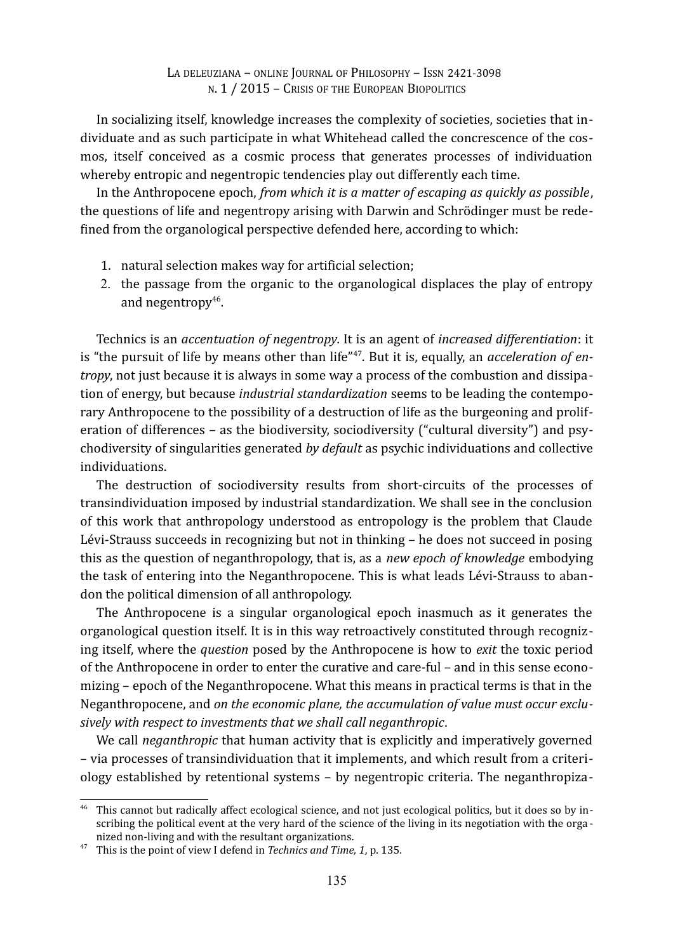In socializing itself, knowledge increases the complexity of societies, societies that individuate and as such participate in what Whitehead called the concrescence of the cosmos, itself conceived as a cosmic process that generates processes of individuation whereby entropic and negentropic tendencies play out differently each time.

In the Anthropocene epoch, *from which it is a matter of escaping as quickly as possible*, the questions of life and negentropy arising with Darwin and Schrödinger must be redefined from the organological perspective defended here, according to which:

- 1. natural selection makes way for artificial selection;
- 2. the passage from the organic to the organological displaces the play of entropy and negentropy<sup>[46](#page-14-0)</sup>.

Technics is an *accentuation of negentropy*. It is an agent of *increased differentiation*: it is "the pursuit of life by means other than life"[47](#page-14-1) . But it is, equally, an *acceleration of entropy*, not just because it is always in some way a process of the combustion and dissipation of energy, but because *industrial standardization* seems to be leading the contemporary Anthropocene to the possibility of a destruction of life as the burgeoning and proliferation of differences – as the biodiversity, sociodiversity ("cultural diversity") and psychodiversity of singularities generated *by default* as psychic individuations and collective individuations.

The destruction of sociodiversity results from short-circuits of the processes of transindividuation imposed by industrial standardization. We shall see in the conclusion of this work that anthropology understood as entropology is the problem that Claude Lévi-Strauss succeeds in recognizing but not in thinking – he does not succeed in posing this as the question of neganthropology, that is, as a *new epoch of knowledge* embodying the task of entering into the Neganthropocene. This is what leads Lévi-Strauss to abandon the political dimension of all anthropology.

The Anthropocene is a singular organological epoch inasmuch as it generates the organological question itself. It is in this way retroactively constituted through recognizing itself, where the *question* posed by the Anthropocene is how to *exit* the toxic period of the Anthropocene in order to enter the curative and care-ful – and in this sense economizing – epoch of the Neganthropocene. What this means in practical terms is that in the Neganthropocene, and *on the economic plane, the accumulation of value must occur exclusively with respect to investments that we shall call neganthropic*.

We call *neganthropic* that human activity that is explicitly and imperatively governed – via processes of transindividuation that it implements, and which result from a criteriology established by retentional systems – by negentropic criteria. The neganthropiza-

<span id="page-14-0"></span>This cannot but radically affect ecological science, and not just ecological politics, but it does so by inscribing the political event at the very hard of the science of the living in its negotiation with the orga nized non-living and with the resultant organizations.

<span id="page-14-1"></span><sup>47</sup> This is the point of view I defend in *Technics and Time, 1*, p. 135.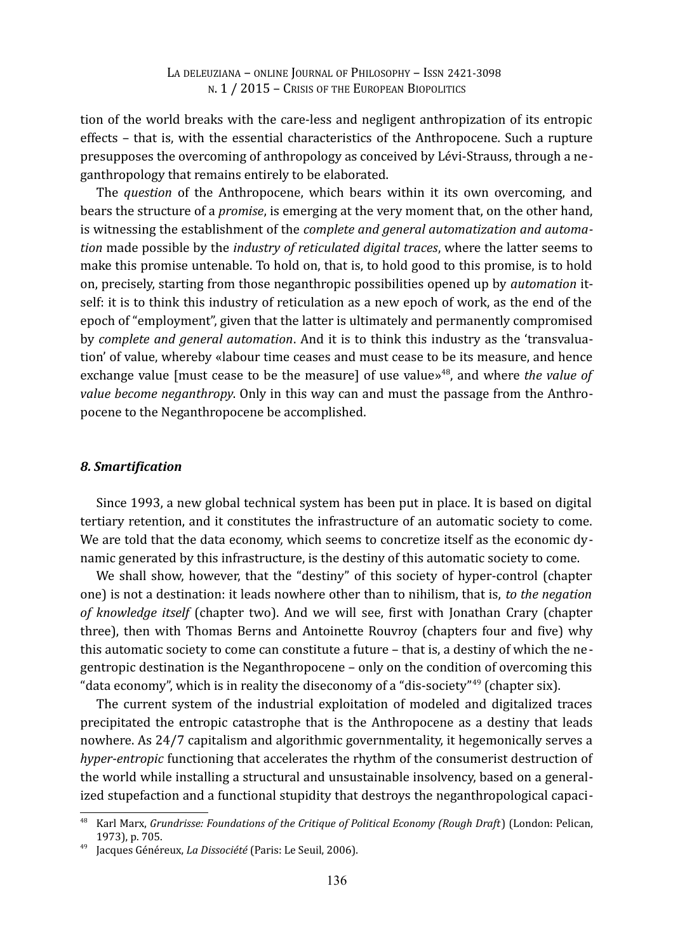tion of the world breaks with the care-less and negligent anthropization of its entropic effects – that is, with the essential characteristics of the Anthropocene. Such a rupture presupposes the overcoming of anthropology as conceived by Lévi-Strauss, through a neganthropology that remains entirely to be elaborated.

The *question* of the Anthropocene, which bears within it its own overcoming, and bears the structure of a *promise*, is emerging at the very moment that, on the other hand, is witnessing the establishment of the *complete and general automatization and automation* made possible by the *industry of reticulated digital traces*, where the latter seems to make this promise untenable. To hold on, that is, to hold good to this promise, is to hold on, precisely, starting from those neganthropic possibilities opened up by *automation* itself: it is to think this industry of reticulation as a new epoch of work, as the end of the epoch of "employment", given that the latter is ultimately and permanently compromised by *complete and general automation*. And it is to think this industry as the 'transvaluation' of value, whereby «labour time ceases and must cease to be its measure, and hence exchange value [must cease to be the measure] of use value» [48](#page-15-0), and where *the value of value become neganthropy*. Only in this way can and must the passage from the Anthropocene to the Neganthropocene be accomplished.

#### *8. Smartification*

Since 1993, a new global technical system has been put in place. It is based on digital tertiary retention, and it constitutes the infrastructure of an automatic society to come. We are told that the data economy, which seems to concretize itself as the economic dynamic generated by this infrastructure, is the destiny of this automatic society to come.

We shall show, however, that the "destiny" of this society of hyper-control (chapter one) is not a destination: it leads nowhere other than to nihilism, that is, *to the negation of knowledge itself* (chapter two). And we will see, first with Jonathan Crary (chapter three), then with Thomas Berns and Antoinette Rouvroy (chapters four and five) why this automatic society to come can constitute a future – that is, a destiny of which the negentropic destination is the Neganthropocene – only on the condition of overcoming this "data economy", which is in reality the diseconomy of a "dis-society"[49](#page-15-1) (chapter six).

The current system of the industrial exploitation of modeled and digitalized traces precipitated the entropic catastrophe that is the Anthropocene as a destiny that leads nowhere. As 24/7 capitalism and algorithmic governmentality, it hegemonically serves a *hyper-entropic* functioning that accelerates the rhythm of the consumerist destruction of the world while installing a structural and unsustainable insolvency, based on a generalized stupefaction and a functional stupidity that destroys the neganthropological capaci-

<span id="page-15-0"></span><sup>48</sup> Karl Marx, *Grundrisse: Foundations of the Critique of Political Economy (Rough Draft*) (London: Pelican, 1973), p. 705.

<span id="page-15-1"></span><sup>49</sup> Jacques Généreux, *La Dissociété* (Paris: Le Seuil, 2006).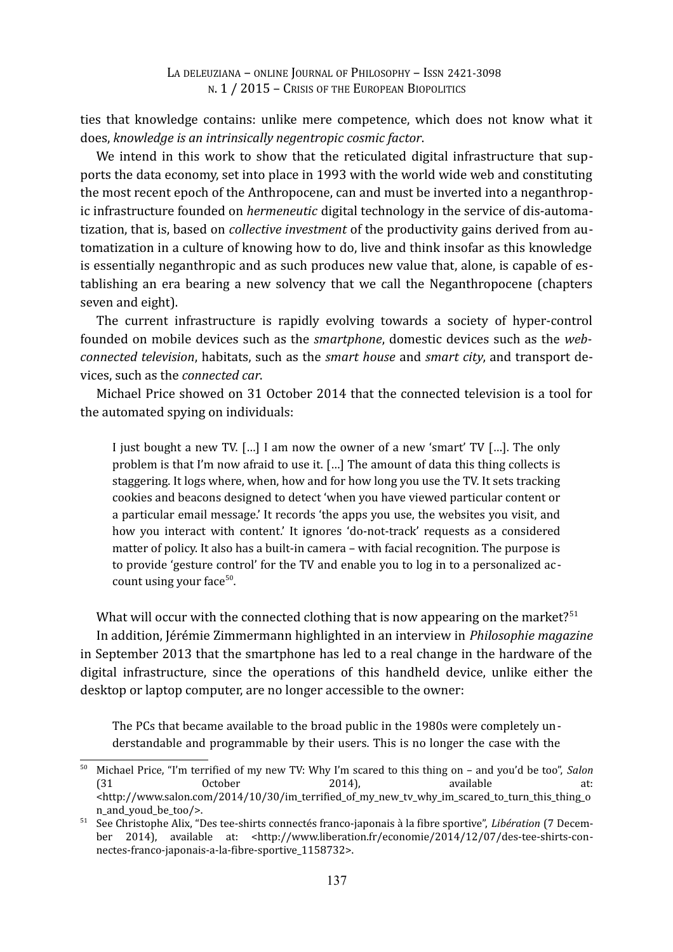ties that knowledge contains: unlike mere competence, which does not know what it does, *knowledge is an intrinsically negentropic cosmic factor*.

We intend in this work to show that the reticulated digital infrastructure that supports the data economy, set into place in 1993 with the world wide web and constituting the most recent epoch of the Anthropocene, can and must be inverted into a neganthropic infrastructure founded on *hermeneutic* digital technology in the service of dis-automatization, that is, based on *collective investment* of the productivity gains derived from automatization in a culture of knowing how to do, live and think insofar as this knowledge is essentially neganthropic and as such produces new value that, alone, is capable of establishing an era bearing a new solvency that we call the Neganthropocene (chapters seven and eight).

The current infrastructure is rapidly evolving towards a society of hyper-control founded on mobile devices such as the *smartphone*, domestic devices such as the *webconnected television*, habitats, such as the *smart house* and *smart city*, and transport devices, such as the *connected car*.

Michael Price showed on 31 October 2014 that the connected television is a tool for the automated spying on individuals:

I just bought a new TV. […] I am now the owner of a new 'smart' TV […]. The only problem is that I'm now afraid to use it. […] The amount of data this thing collects is staggering. It logs where, when, how and for how long you use the TV. It sets tracking cookies and beacons designed to detect 'when you have viewed particular content or a particular email message.' It records 'the apps you use, the websites you visit, and how you interact with content.' It ignores 'do-not-track' requests as a considered matter of policy. It also has a built-in camera – with facial recognition. The purpose is to provide 'gesture control' for the TV and enable you to log in to a personalized ac-count using your face<sup>[50](#page-16-0)</sup>.

What will occur with the connected clothing that is now appearing on the market?<sup>[51](#page-16-1)</sup> In addition, Jérémie Zimmermann highlighted in an interview in *Philosophie magazine* in September 2013 that the smartphone has led to a real change in the hardware of the digital infrastructure, since the operations of this handheld device, unlike either the desktop or laptop computer, are no longer accessible to the owner:

The PCs that became available to the broad public in the 1980s were completely understandable and programmable by their users. This is no longer the case with the

<span id="page-16-0"></span><sup>50</sup> Michael Price, "I'm terrified of my new TV: Why I'm scared to this thing on – and you'd be too", *Salon* (31 October 2014), available at: <http://www.salon.com/2014/10/30/im\_terrified\_of\_my\_new\_tv\_why\_im\_scared\_to\_turn\_this\_thing\_o n\_and\_youd\_be\_too/>.

<span id="page-16-1"></span><sup>51</sup> See Christophe Alix, "Des tee-shirts connectés franco-japonais à la fibre sportive", *Libération* (7 December 2014), available at: <http://www.liberation.fr/economie/2014/12/07/des-tee-shirts-connectes-franco-japonais-a-la-fibre-sportive\_1158732>.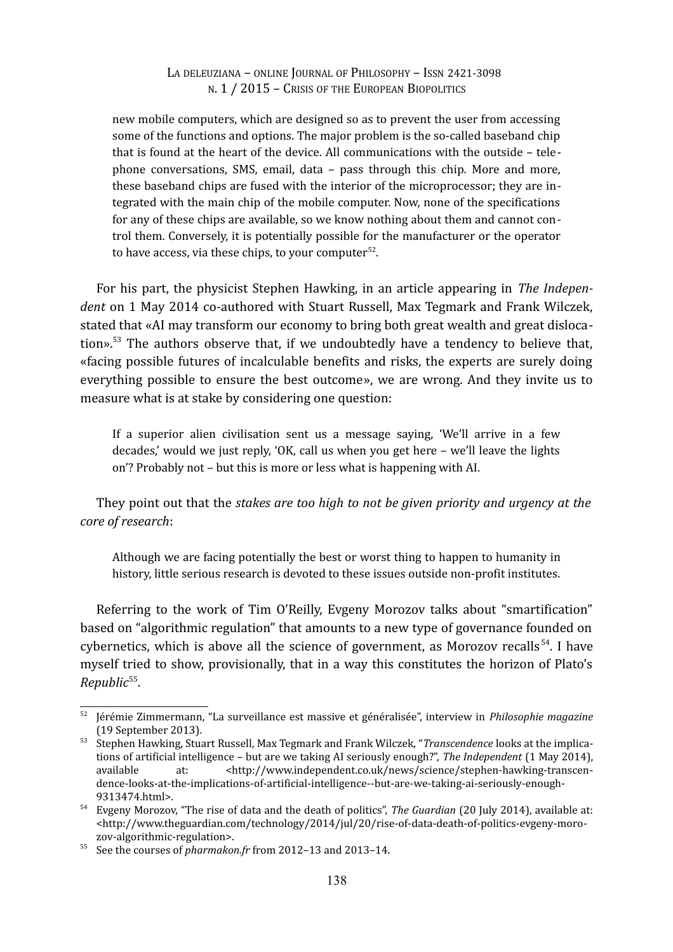new mobile computers, which are designed so as to prevent the user from accessing some of the functions and options. The major problem is the so-called baseband chip that is found at the heart of the device. All communications with the outside – telephone conversations, SMS, email, data – pass through this chip. More and more, these baseband chips are fused with the interior of the microprocessor; they are integrated with the main chip of the mobile computer. Now, none of the specifications for any of these chips are available, so we know nothing about them and cannot control them. Conversely, it is potentially possible for the manufacturer or the operator to have access, via these chips, to your computer $52$ .

For his part, the physicist Stephen Hawking, in an article appearing in *The Independent* on 1 May 2014 co-authored with Stuart Russell, Max Tegmark and Frank Wilczek, stated that «AI may transform our economy to bring both great wealth and great disloca-tion».<sup>[53](#page-17-1)</sup> The authors observe that, if we undoubtedly have a tendency to believe that, «facing possible futures of incalculable benefits and risks, the experts are surely doing everything possible to ensure the best outcome», we are wrong. And they invite us to measure what is at stake by considering one question:

If a superior alien civilisation sent us a message saying, 'We'll arrive in a few decades,' would we just reply, 'OK, call us when you get here – we'll leave the lights on'? Probably not – but this is more or less what is happening with AI.

They point out that the *stakes are too high to not be given priority and urgency at the core of research*:

Although we are facing potentially the best or worst thing to happen to humanity in history, little serious research is devoted to these issues outside non-profit institutes.

Referring to the work of Tim O'Reilly, Evgeny Morozov talks about "smartification" based on "algorithmic regulation" that amounts to a new type of governance founded on cybernetics, which is above all the science of government, as Morozov recalls<sup>[54](#page-17-2)</sup>. I have myself tried to show, provisionally, that in a way this constitutes the horizon of Plato's *Republic*[55](#page-17-3) .

<span id="page-17-0"></span><sup>52</sup> Jérémie Zimmermann, "La surveillance est massive et généralisée", interview in *Philosophie magazine* (19 September 2013).

<span id="page-17-1"></span><sup>53</sup> Stephen Hawking, Stuart Russell, Max Tegmark and Frank Wilczek, "*Transcendence* looks at the implications of artificial intelligence – but are we taking AI seriously enough?", *The Independent* (1 May 2014), available at: <http://www.independent.co.uk/news/science/stephen-hawking-transcendence-looks-at-the-implications-of-artificial-intelligence--but-are-we-taking-ai-seriously-enough-9313474.html>.

<span id="page-17-2"></span><sup>54</sup> Evgeny Morozov, "The rise of data and the death of politics", *The Guardian* (20 July 2014), available at: <http://www.theguardian.com/technology/2014/jul/20/rise-of-data-death-of-politics-evgeny-morozov-algorithmic-regulation>.

<span id="page-17-3"></span><sup>55</sup> See the courses of *pharmakon.fr* from 2012–13 and 2013–14.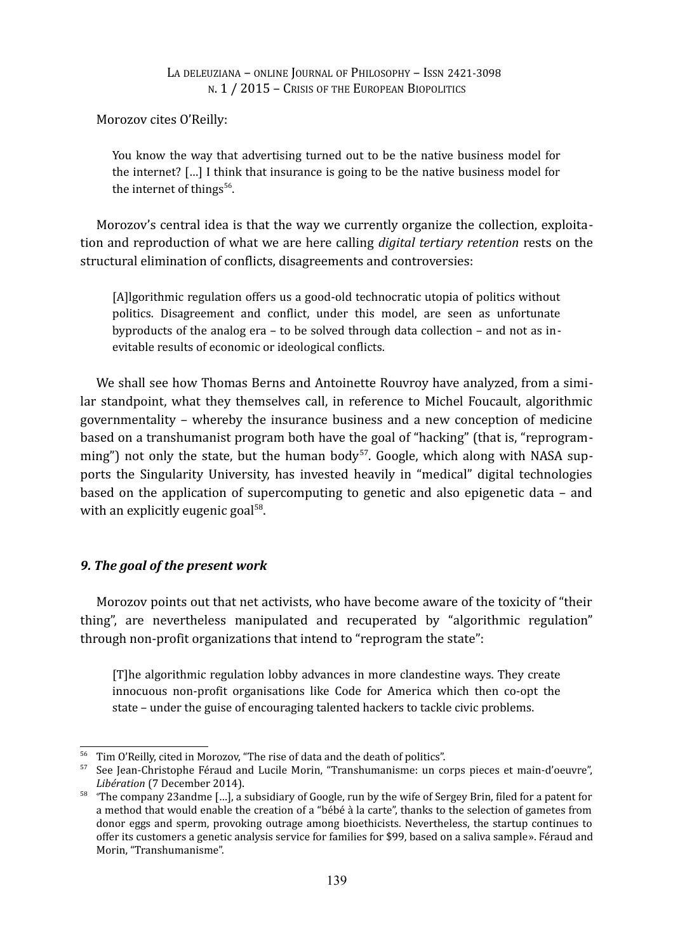Morozov cites O'Reilly:

You know the way that advertising turned out to be the native business model for the internet? […] I think that insurance is going to be the native business model for the internet of things<sup>[56](#page-18-0)</sup>.

Morozov's central idea is that the way we currently organize the collection, exploitation and reproduction of what we are here calling *digital tertiary retention* rests on the structural elimination of conflicts, disagreements and controversies:

[A]lgorithmic regulation offers us a good-old technocratic utopia of politics without politics. Disagreement and conflict, under this model, are seen as unfortunate byproducts of the analog era – to be solved through data collection – and not as inevitable results of economic or ideological conflicts.

We shall see how Thomas Berns and Antoinette Rouvroy have analyzed, from a similar standpoint, what they themselves call, in reference to Michel Foucault, algorithmic governmentality – whereby the insurance business and a new conception of medicine based on a transhumanist program both have the goal of "hacking" (that is, "reprogram-ming") not only the state, but the human body<sup>[57](#page-18-1)</sup>. Google, which along with NASA supports the Singularity University, has invested heavily in "medical" digital technologies based on the application of supercomputing to genetic and also epigenetic data – and with an explicitly eugenic goal<sup>[58](#page-18-2)</sup>.

#### *9. The goal of the present work*

Morozov points out that net activists, who have become aware of the toxicity of "their thing", are nevertheless manipulated and recuperated by "algorithmic regulation" through non-profit organizations that intend to "reprogram the state":

[T]he algorithmic regulation lobby advances in more clandestine ways. They create innocuous non-profit organisations like Code for America which then co-opt the state – under the guise of encouraging talented hackers to tackle civic problems.

<span id="page-18-0"></span><sup>56</sup> Tim O'Reilly, cited in Morozov, "The rise of data and the death of politics".

<span id="page-18-1"></span> $57$  See Jean-Christophe Féraud and Lucile Morin, "Transhumanisme: un corps pieces et main-d'oeuvre", *Libération* (7 December 2014).

<span id="page-18-2"></span><sup>58</sup> «The company 23andme […], a subsidiary of Google, run by the wife of Sergey Brin, filed for a patent for a method that would enable the creation of a "bébé à la carte", thanks to the selection of gametes from donor eggs and sperm, provoking outrage among bioethicists. Nevertheless, the startup continues to offer its customers a genetic analysis service for families for \$99, based on a saliva sample». Féraud and Morin, "Transhumanisme".